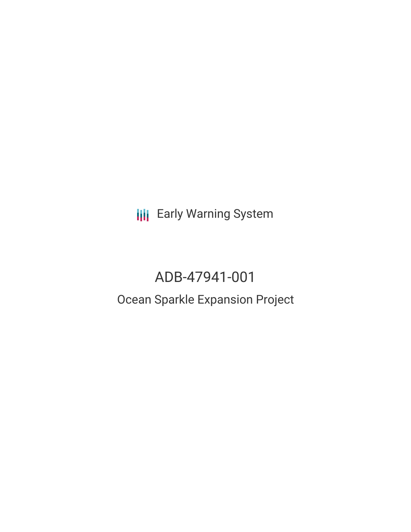**III** Early Warning System

# ADB-47941-001

## Ocean Sparkle Expansion Project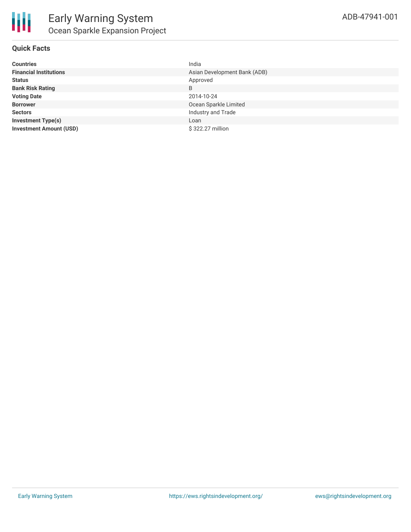

| <b>Countries</b>               | India                        |
|--------------------------------|------------------------------|
| <b>Financial Institutions</b>  | Asian Development Bank (ADB) |
| <b>Status</b>                  | Approved                     |
| <b>Bank Risk Rating</b>        | B                            |
| <b>Voting Date</b>             | 2014-10-24                   |
| <b>Borrower</b>                | Ocean Sparkle Limited        |
| <b>Sectors</b>                 | Industry and Trade           |
| <b>Investment Type(s)</b>      | Loan                         |
| <b>Investment Amount (USD)</b> | \$322.27 million             |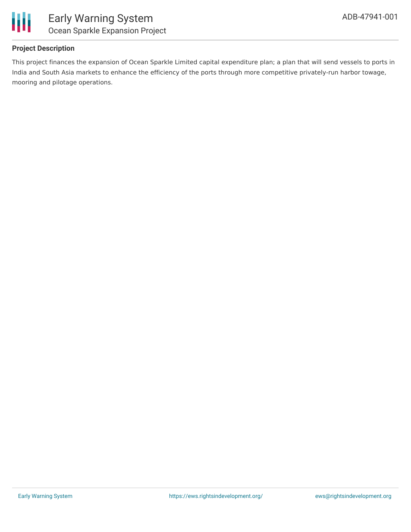

### **Project Description**

This project finances the expansion of Ocean Sparkle Limited capital expenditure plan; a plan that will send vessels to ports in India and South Asia markets to enhance the efficiency of the ports through more competitive privately-run harbor towage, mooring and pilotage operations.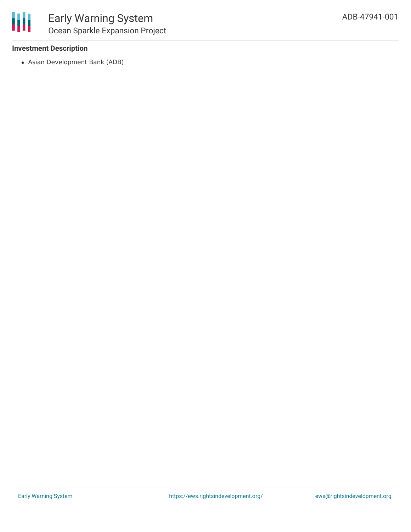

#### **Investment Description**

Asian Development Bank (ADB)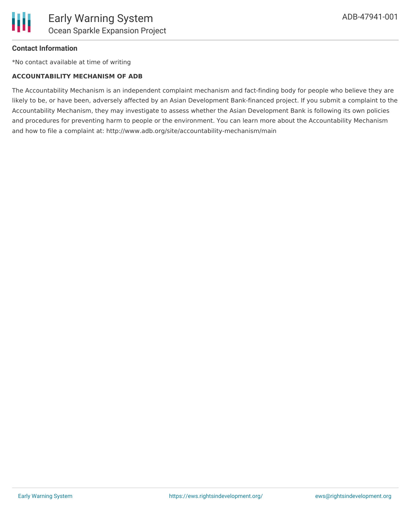

#### **Contact Information**

\*No contact available at time of writing

#### **ACCOUNTABILITY MECHANISM OF ADB**

The Accountability Mechanism is an independent complaint mechanism and fact-finding body for people who believe they are likely to be, or have been, adversely affected by an Asian Development Bank-financed project. If you submit a complaint to the Accountability Mechanism, they may investigate to assess whether the Asian Development Bank is following its own policies and procedures for preventing harm to people or the environment. You can learn more about the Accountability Mechanism and how to file a complaint at: http://www.adb.org/site/accountability-mechanism/main